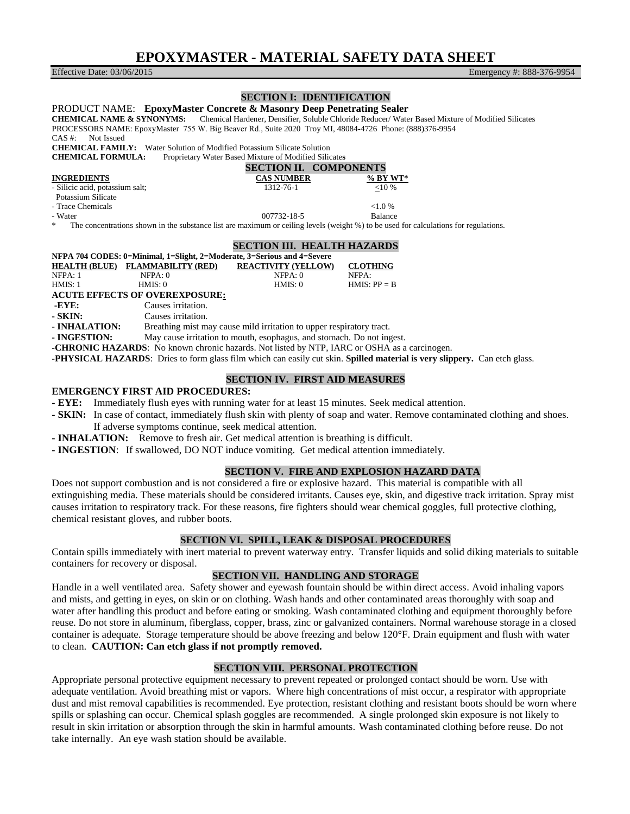# **EPOXYMASTER - MATERIAL SAFETY DATA SHEET**

Effective Date: 03/06/2015 Emergency #: 888-376-9954

# **SECTION I: IDENTIFICATION**

PRODUCT NAME: **EpoxyMaster Concrete & Masonry Deep Penetrating Sealer CHEMICAL NAME & SYNONYMS:** Chemical Hardener, Densifier, Soluble Chloride Reducer/ Water Based Mixture of Modified Silicates PROCESSORS NAME: EpoxyMaster 755 W. Big Beaver Rd., Suite 2020 Troy MI, 48084-4726 Phone: (888)376-9954 CAS #: Not Issued **CHEMICAL FAMILY:** Water Solution of Modified Potassium Silicate Solution **CHEMICAL FORMULA:** Proprietary Water Based Mixture of Modified Silic **CHEMICAL FORMULA:** Proprietary Water Based Mixture of Modified Silicate**s SECTION II. COMPONENTS INGREDIENTS**<br> **CAS NUMBER**<br> **CAS NUMBER**<br> **CAS NUMBER**<br> **CAS NUMBER**<br> **CAS NUMBER**<br> **CAS NUMBER**<br> **CAS NUMBER**<br> **CAS NUMBER** - Silicic acid, potassium salt; 1312-76-1 <10 % Potassium Silicate - Trace Chemicals <1.0 % - Water **Department of the USA CONTEXA** - Water **Balance Balance Balance** The concentrations shown in the substance list are maximum or ceiling levels (weight %) to be used for calculations for regulations. **SECTION III. HEALTH HAZARDS NFPA 704 CODES: 0=Minimal, 1=Slight, 2=Moderate, 3=Serious and 4=Severe HEALTH (BLUE) FLAMMABILITY (RED) REACTIVITY (YELLOW) CLOTHING** NFPA: 0 NFPA: 0 NFPA: 0 NFPA: 0 NFPA: 0 NFPA: 0 HMIS: 1 HMIS: 0 HMIS: 0 HMIS: 0 HMIS: 0 HMIS: 0 HMIS: PP = B **ACUTE EFFECTS OF OVEREXPOSURE: -EYE:** Causes irritation. **- SKIN:** Causes irritation. - **INHALATION:** Breathing mist may cause mild irritation to upper respiratory tract. **- INGESTION:** May cause irritation to mouth, esophagus, and stomach. Do not ingest.

**-CHRONIC HAZARDS**: No known chronic hazards. Not listed by NTP, IARC or OSHA as a carcinogen.

**-PHYSICAL HAZARDS**: Dries to form glass film which can easily cut skin. **Spilled material is very slippery.** Can etch glass.

## **SECTION IV. FIRST AID MEASURES**

#### **EMERGENCY FIRST AID PROCEDURES:**

**- EYE:** Immediately flush eyes with running water for at least 15 minutes. Seek medical attention.

- **SKIN:** In case of contact, immediately flush skin with plenty of soap and water. Remove contaminated clothing and shoes. If adverse symptoms continue, seek medical attention.
- **INHALATION:** Remove to fresh air. Get medical attention is breathing is difficult.
- **INGESTION**: If swallowed, DO NOT induce vomiting. Get medical attention immediately.

#### **SECTION V. FIRE AND EXPLOSION HAZARD DATA**

Does not support combustion and is not considered a fire or explosive hazard. This material is compatible with all extinguishing media. These materials should be considered irritants. Causes eye, skin, and digestive track irritation. Spray mist causes irritation to respiratory track. For these reasons, fire fighters should wear chemical goggles, full protective clothing, chemical resistant gloves, and rubber boots.

## **SECTION VI. SPILL, LEAK & DISPOSAL PROCEDURES**

Contain spills immediately with inert material to prevent waterway entry. Transfer liquids and solid diking materials to suitable containers for recovery or disposal.

# **SECTION VII. HANDLING AND STORAGE**

Handle in a well ventilated area. Safety shower and eyewash fountain should be within direct access. Avoid inhaling vapors and mists, and getting in eyes, on skin or on clothing. Wash hands and other contaminated areas thoroughly with soap and water after handling this product and before eating or smoking. Wash contaminated clothing and equipment thoroughly before reuse. Do not store in aluminum, fiberglass, copper, brass, zinc or galvanized containers. Normal warehouse storage in a closed container is adequate. Storage temperature should be above freezing and below 120°F. Drain equipment and flush with water to clean. **CAUTION: Can etch glass if not promptly removed.**

# **SECTION VIII. PERSONAL PROTECTION**

Appropriate personal protective equipment necessary to prevent repeated or prolonged contact should be worn. Use with adequate ventilation. Avoid breathing mist or vapors. Where high concentrations of mist occur, a respirator with appropriate dust and mist removal capabilities is recommended. Eye protection, resistant clothing and resistant boots should be worn where spills or splashing can occur. Chemical splash goggles are recommended. A single prolonged skin exposure is not likely to result in skin irritation or absorption through the skin in harmful amounts. Wash contaminated clothing before reuse. Do not take internally. An eye wash station should be available.